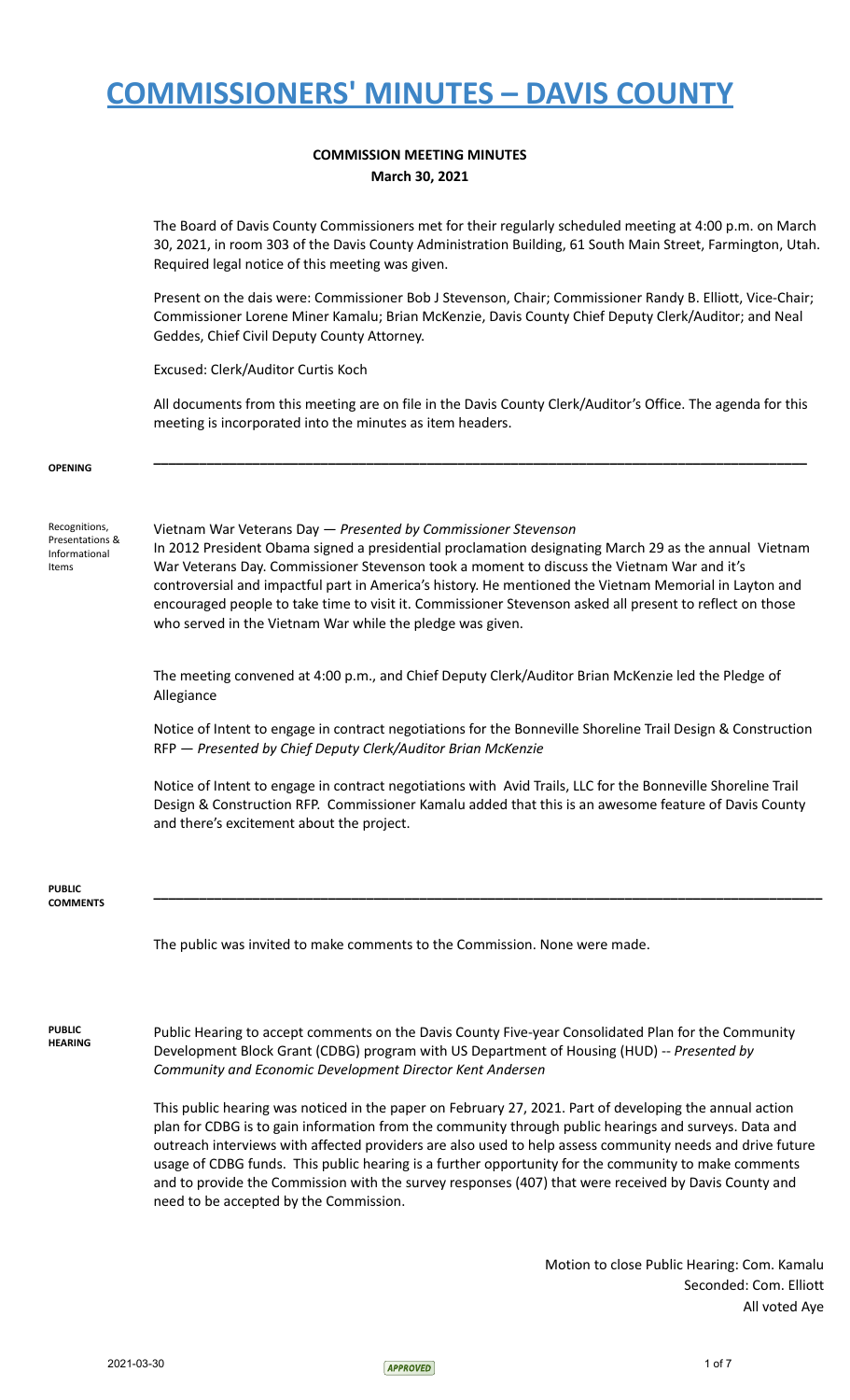### **COMMISSION MEETING MINUTES March 30, 2021**

The Board of Davis County Commissioners met for their regularly scheduled meeting at 4:00 p.m. on March 30, 2021, in room 303 of the Davis County Administration Building, 61 South Main Street, Farmington, Utah. Required legal notice of this meeting was given.

Present on the dais were: Commissioner Bob J Stevenson, Chair; Commissioner Randy B. Elliott, Vice-Chair; Commissioner Lorene Miner Kamalu; Brian McKenzie, Davis County Chief Deputy Clerk/Auditor; and Neal Geddes, Chief Civil Deputy County Attorney.

Excused: Clerk/Auditor Curtis Koch

All documents from this meeting are on file in the Davis County Clerk/Auditor's Office. The agenda for this meeting is incorporated into the minutes as item headers.

**\_\_\_\_\_\_\_\_\_\_\_\_\_\_\_\_\_\_\_\_\_\_\_\_\_\_\_\_\_\_\_\_\_\_\_\_\_\_\_\_\_\_\_\_\_\_\_\_\_\_\_\_\_\_\_\_\_\_\_\_\_\_\_\_\_\_\_\_\_\_\_\_\_\_\_\_\_\_\_\_\_\_\_\_\_\_**

**OPENING**

Recognitions, Presentations & Informational Items

Vietnam War Veterans Day — *Presented by Commissioner Stevenson*

In 2012 President Obama signed a presidential proclamation designating March 29 as the annual Vietnam War Veterans Day. Commissioner Stevenson took a moment to discuss the Vietnam War and it's controversial and impactful part in America's history. He mentioned the Vietnam Memorial in Layton and encouraged people to take time to visit it. Commissioner Stevenson asked all present to reflect on those who served in the Vietnam War while the pledge was given.

The meeting convened at 4:00 p.m., and Chief Deputy Clerk/Auditor Brian McKenzie led the Pledge of Allegiance

Notice of Intent to engage in contract negotiations for the Bonneville Shoreline Trail Design & Construction RFP — *Presented by Chief Deputy Clerk/Auditor Brian McKenzie*

Notice of Intent to engage in contract negotiations with Avid Trails, LLC for the Bonneville Shoreline Trail Design & Construction RFP. Commissioner Kamalu added that this is an awesome feature of Davis County and there's excitement about the project.

**\_\_\_\_\_\_\_\_\_\_\_\_\_\_\_\_\_\_\_\_\_\_\_\_\_\_\_\_\_\_\_\_\_\_\_\_\_\_\_\_\_\_\_\_\_\_\_\_\_\_\_\_\_\_\_\_\_\_\_\_\_\_\_\_\_\_\_\_\_\_\_\_\_\_\_\_\_\_\_\_\_\_\_\_\_\_\_\_**

**PUBLIC COMMENTS**

The public was invited to make comments to the Commission. None were made.

**PUBLIC HEARING** Public Hearing to accept comments on the Davis County Five-year Consolidated Plan for the Community Development Block Grant (CDBG) program with US Department of Housing (HUD) -- *Presented by Community and Economic Development Director Kent Andersen*

This public hearing was noticed in the paper on February 27, 2021. Part of developing the annual action plan for CDBG is to gain information from the community through public hearings and surveys. Data and outreach interviews with affected providers are also used to help assess community needs and drive future usage of CDBG funds. This public hearing is a further opportunity for the community to make comments and to provide the Commission with the survey responses (407) that were received by Davis County and need to be accepted by the Commission.

> Motion to close Public Hearing: Com. Kamalu Seconded: Com. Elliott All voted Aye

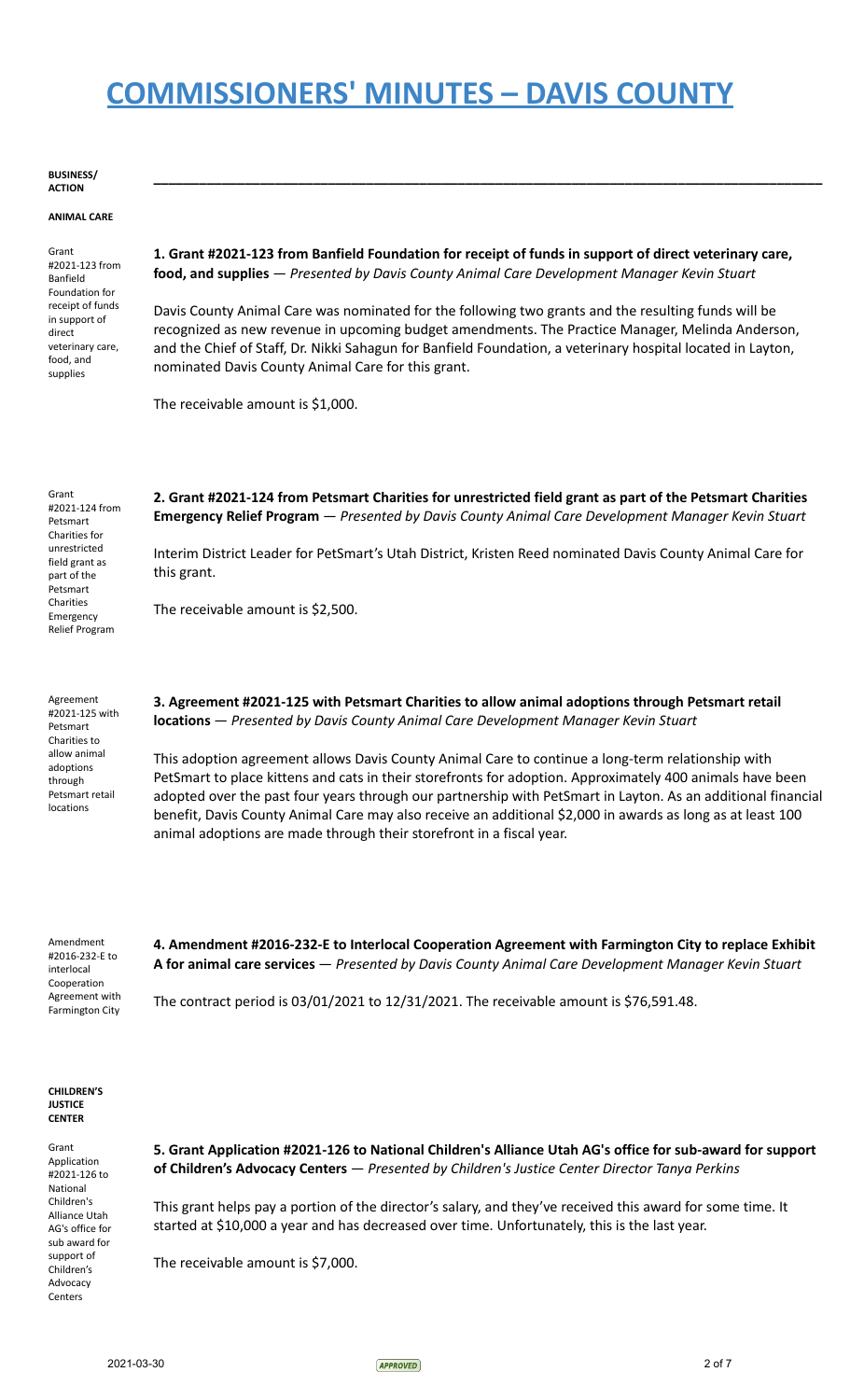#### **BUSINESS/ ACTION**

#### **ANIMAL CARE**

Grant #2021-123 from Banfield Foundation for receipt of funds in support of direct veterinary care, food, and supplies

**1. Grant #2021-123 from Banfield Foundation for receipt of funds in support of direct veterinary care, food, and supplies** — *Presented by Davis County Animal Care Development Manager Kevin Stuart*

**\_\_\_\_\_\_\_\_\_\_\_\_\_\_\_\_\_\_\_\_\_\_\_\_\_\_\_\_\_\_\_\_\_\_\_\_\_\_\_\_\_\_\_\_\_\_\_\_\_\_\_\_\_\_\_\_\_\_\_\_\_\_\_\_\_\_\_\_\_\_\_\_\_\_\_\_\_\_\_\_\_\_\_\_\_\_\_\_**

Davis County Animal Care was nominated for the following two grants and the resulting funds will be recognized as new revenue in upcoming budget amendments. The Practice Manager, Melinda Anderson, and the Chief of Staff, Dr. Nikki Sahagun for Banfield Foundation, a veterinary hospital located in Layton, nominated Davis County Animal Care for this grant.

The receivable amount is \$1,000.

Grant #2021-124 from Petsmart Charities for unrestricted field grant as part of the Petsmart Charities Emergency Relief Program

**2. Grant #2021-124 from Petsmart Charities for unrestricted field grant as part of the Petsmart Charities Emergency Relief Program** — *Presented by Davis County Animal Care Development Manager Kevin Stuart*

Interim District Leader for PetSmart's Utah District, Kristen Reed nominated Davis County Animal Care for this grant.

The receivable amount is \$2,500.

Agreement #2021-125 with Petsmart Charities to allow animal adoptions through Petsmart retail locations

**3. Agreement #2021-125 with Petsmart Charities to allow animal adoptions through Petsmart retail locations** — *Presented by Davis County Animal Care Development Manager Kevin Stuart*

This adoption agreement allows Davis County Animal Care to continue a long-term relationship with PetSmart to place kittens and cats in their storefronts for adoption. Approximately 400 animals have been adopted over the past four years through our partnership with PetSmart in Layton. As an additional financial benefit, Davis County Animal Care may also receive an additional \$2,000 in awards as long as at least 100 animal adoptions are made through their storefront in a fiscal year.

Amendment #2016-232-E to interlocal Cooperation Agreement with Farmington City

**4. Amendment #2016-232-E to Interlocal Cooperation Agreement with Farmington City to replace Exhibit A for animal care services** — *Presented by Davis County Animal Care Development Manager Kevin Stuart*

The contract period is  $03/01/2021$  to  $12/31/2021$ . The receivable amount is \$76,591.48.

#### **CHILDREN'S JUSTICE CENTER**

Grant Application #2021-126 to National Children's Alliance Utah AG's office for sub award for support of Children's Advocacy Centers

**5. Grant Application #2021-126 to National Children's Alliance Utah AG's office for sub-award for support of Children's Advocacy Centers** — *Presented by Children's Justice Center Director Tanya Perkins*

This grant helps pay a portion of the director's salary, and they've received this award for some time. It started at \$10,000 a year and has decreased over time. Unfortunately, this is the last year.

The receivable amount is \$7,000.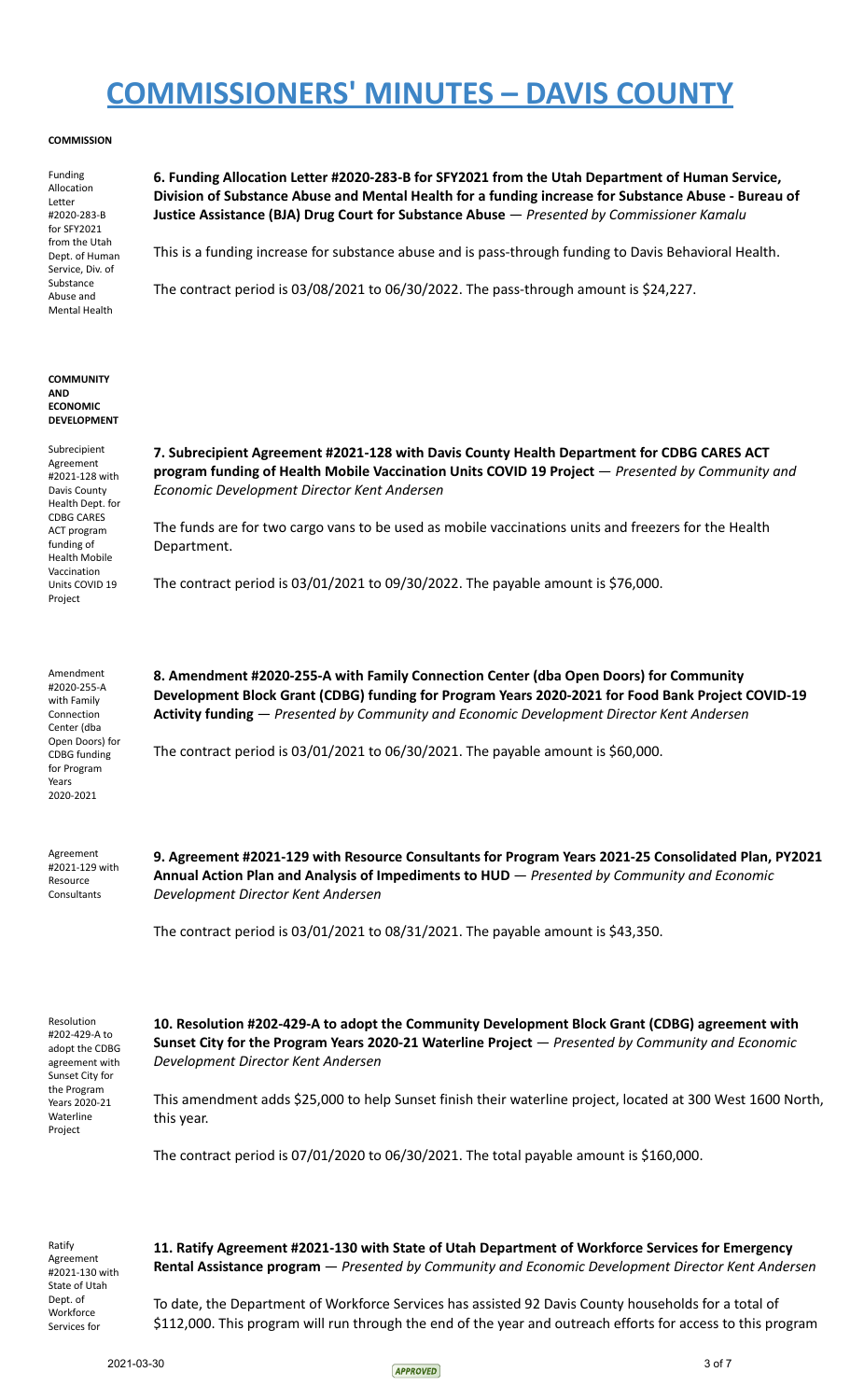#### **COMMISSION**

Funding Allocation Letter #2020-283-B for SFY2021 from the Utah Dept. of Human Service, Div. of Substance Abuse and Mental Health

**6. Funding Allocation Letter #2020-283-B for SFY2021 from the Utah Department of Human Service, Division of Substance Abuse and Mental Health for a funding increase for Substance Abuse - Bureau of Justice Assistance (BJA) Drug Court for Substance Abuse** — *Presented by Commissioner Kamalu*

This is a funding increase for substance abuse and is pass-through funding to Davis Behavioral Health.

The contract period is 03/08/2021 to 06/30/2022. The pass-through amount is \$24,227.

#### **COMMUNITY AND ECONOMIC DEVELOPMENT**

Subrecipient Agreement #2021-128 with Davis County Health Dept. for CDBG CARES ACT program funding of Health Mobile Vaccination Units COVID 19 Project

**7. Subrecipient Agreement #2021-128 with Davis County Health Department for CDBG CARES ACT program funding of Health Mobile Vaccination Units COVID 19 Project** — *Presented by Community and Economic Development Director Kent Andersen*

The funds are for two cargo vans to be used as mobile vaccinations units and freezers for the Health Department.

**8. Amendment #2020-255-A with Family Connection Center (dba Open Doors) for Community**

**Activity funding** — *Presented by Community and Economic Development Director Kent Andersen*

The contract period is 03/01/2021 to 09/30/2022. The payable amount is \$76,000.

Amendment #2020-255-A with Family Connection Center (dba Open Doors) for CDBG funding for Program Years 2020-2021

Agreement #2021-129 with Resource **Consultants** 

**9. Agreement #2021-129 with Resource Consultants for Program Years 2021-25 Consolidated Plan, PY2021 Annual Action Plan and Analysis of Impediments to HUD** — *Presented by Community and Economic Development Director Kent Andersen*

**Development Block Grant (CDBG) funding for Program Years 2020-2021 for Food Bank Project COVID-19**

The contract period is 03/01/2021 to 08/31/2021. The payable amount is \$43,350.

The contract period is 03/01/2021 to 06/30/2021. The payable amount is \$60,000.

Resolution #202-429-A to adopt the CDBG agreement with Sunset City for the Program Years 2020-21 Waterline Project

**10. Resolution #202-429-A to adopt the Community Development Block Grant (CDBG) agreement with Sunset City for the Program Years 2020-21 Waterline Project** — *Presented by Community and Economic Development Director Kent Andersen*

This amendment adds \$25,000 to help Sunset finish their waterline project, located at 300 West 1600 North, this year.

The contract period is 07/01/2020 to 06/30/2021. The total payable amount is \$160,000.

Ratify Agreement #2021-130 with State of Utah Dept. of **Workforce** Services for

**11. Ratify Agreement #2021-130 with State of Utah Department of Workforce Services for Emergency Rental Assistance program** — *Presented by Community and Economic Development Director Kent Andersen*

To date, the Department of Workforce Services has assisted 92 Davis County households for a total of \$112,000. This program will run through the end of the year and outreach efforts for access to this program

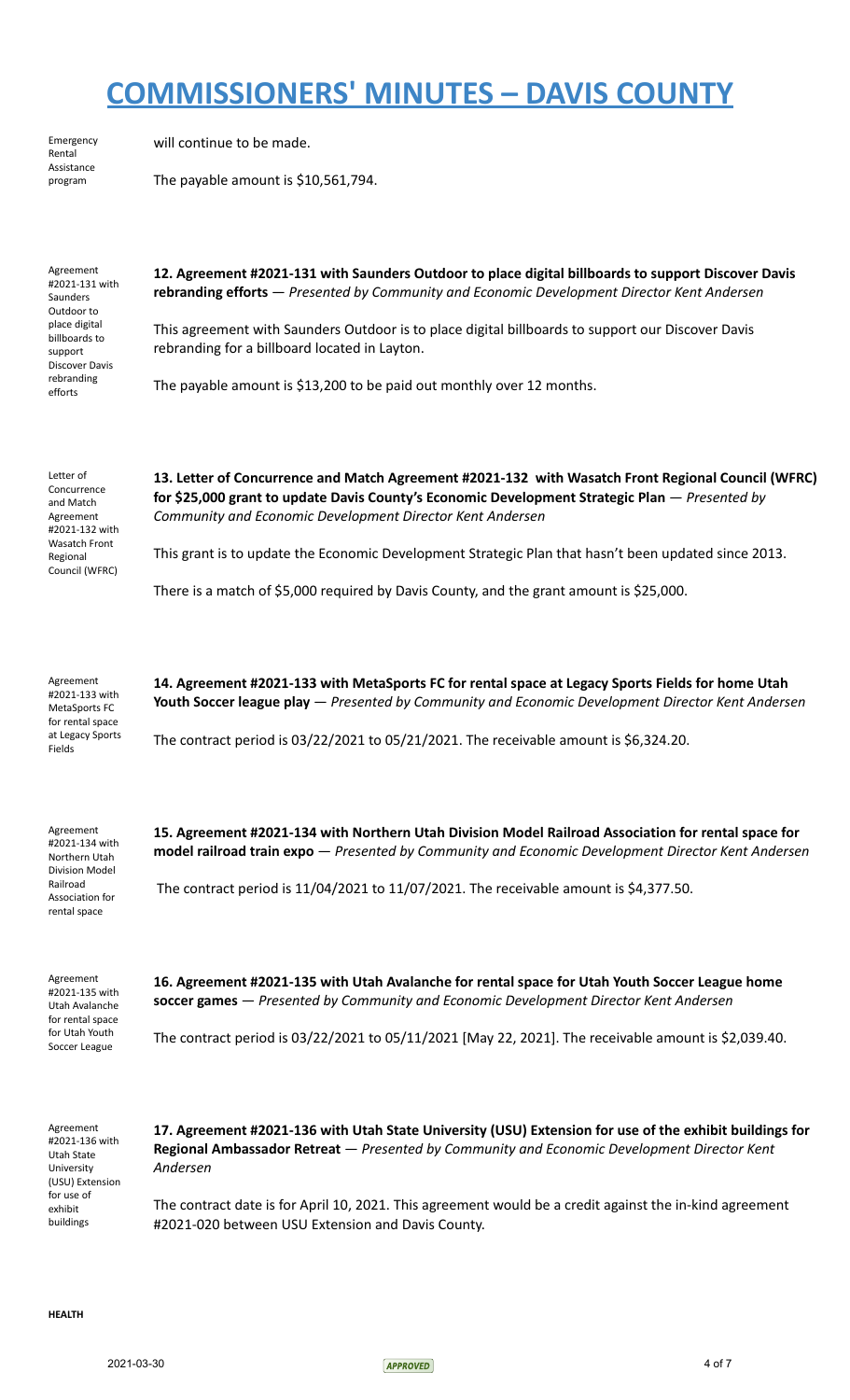Emergency Rental Assistance program

will continue to be made.

The payable amount is \$10,561,794.

Agreement #2021-131 with Saunders Outdoor to place digital billboards to support Discover Davis rebranding efforts

**12. Agreement #2021-131 with Saunders Outdoor to place digital billboards to support Discover Davis rebranding efforts** — *Presented by Community and Economic Development Director Kent Andersen*

This agreement with Saunders Outdoor is to place digital billboards to support our Discover Davis rebranding for a billboard located in Layton.

The payable amount is \$13,200 to be paid out monthly over 12 months.

Letter of Concurrence and Match Agreement #2021-132 with Wasatch Front Regional Council (WFRC)

**13. Letter of Concurrence and Match Agreement #2021-132 with Wasatch Front Regional Council (WFRC) for \$25,000 grant to update Davis County's Economic Development Strategic Plan** — *Presented by Community and Economic Development Director Kent Andersen*

This grant is to update the Economic Development Strategic Plan that hasn't been updated since 2013.

There is a match of \$5,000 required by Davis County, and the grant amount is \$25,000.

Agreement #2021-133 with MetaSports FC for rental space at Legacy Sports Fields

**14. Agreement #2021-133 with MetaSports FC for rental space at Legacy Sports Fields for home Utah Youth Soccer league play** — *Presented by Community and Economic Development Director Kent Andersen*

The contract period is 03/22/2021 to 05/21/2021. The receivable amount is \$6,324.20.

Agreement #2021-134 with Northern Utah Division Model Railroad Association for rental space

**15. Agreement #2021-134 with Northern Utah Division Model Railroad Association for rental space for model railroad train expo** — *Presented by Community and Economic Development Director Kent Andersen*

The contract period is 11/04/2021 to 11/07/2021. The receivable amount is \$4,377.50.

Agreement #2021-135 with Utah Avalanche for rental space for Utah Youth Soccer League

**16. Agreement #2021-135 with Utah Avalanche for rental space for Utah Youth Soccer League home soccer games** — *Presented by Community and Economic Development Director Kent Andersen*

The contract period is 03/22/2021 to 05/11/2021 [May 22, 2021]. The receivable amount is \$2,039.40.

Agreement #2021-136 with Utah State University (USU) Extension for use of exhibit buildings

**17. Agreement #2021-136 with Utah State University (USU) Extension for use of the exhibit buildings for Regional Ambassador Retreat** — *Presented by Community and Economic Development Director Kent Andersen*

The contract date is for April 10, 2021. This agreement would be a credit against the in-kind agreement #2021-020 between USU Extension and Davis County.

**HEALTH**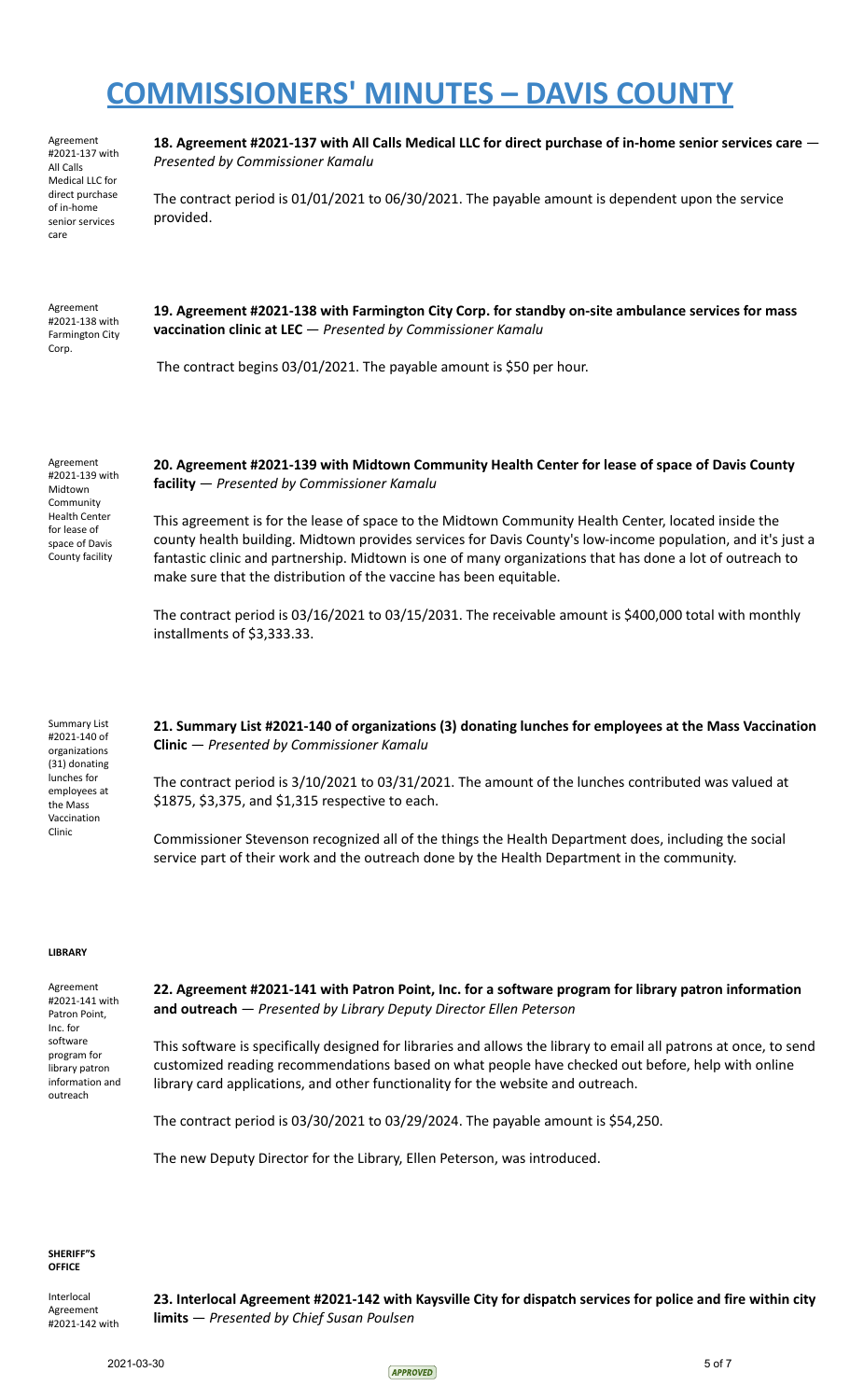Agreement #2021-137 with All Calls Medical LLC for direct purchase of in-home senior services care

**18. Agreement #2021-137 with All Calls Medical LLC for direct purchase of in-home senior services care** — *Presented by Commissioner Kamalu*

The contract period is 01/01/2021 to 06/30/2021. The payable amount is dependent upon the service provided.

Agreement #2021-138 with Farmington City Corp.

**19. Agreement #2021-138 with Farmington City Corp. for standby on-site ambulance services for mass vaccination clinic at LEC** — *Presented by Commissioner Kamalu*

The contract begins 03/01/2021. The payable amount is \$50 per hour.

Agreement #2021-139 with Midtown **Community** Health Center for lease of space of Davis County facility

### **20. Agreement #2021-139 with Midtown Community Health Center for lease of space of Davis County facility** — *Presented by Commissioner Kamalu*

This agreement is for the lease of space to the Midtown Community Health Center, located inside the county health building. Midtown provides services for Davis County's low-income population, and it's just a fantastic clinic and partnership. Midtown is one of many organizations that has done a lot of outreach to make sure that the distribution of the vaccine has been equitable.

The contract period is 03/16/2021 to 03/15/2031. The receivable amount is \$400,000 total with monthly installments of \$3,333.33.

Summary List #2021-140 of organizations (31) donating lunches for employees at the Mass Vaccination Clinic

**21. Summary List #2021-140 of organizations (3) donating lunches for employees at the Mass Vaccination Clinic** — *Presented by Commissioner Kamalu*

The contract period is 3/10/2021 to 03/31/2021. The amount of the lunches contributed was valued at \$1875, \$3,375, and \$1,315 respective to each.

Commissioner Stevenson recognized all of the things the Health Department does, including the social service part of their work and the outreach done by the Health Department in the community.

#### **LIBRARY**

Agreement #2021-141 with Patron Point, Inc. for software program for library patron information and outreach

**22. Agreement #2021-141 with Patron Point, Inc. for a software program for library patron information and outreach** — *Presented by Library Deputy Director Ellen Peterson*

This software is specifically designed for libraries and allows the library to email all patrons at once, to send customized reading recommendations based on what people have checked out before, help with online library card applications, and other functionality for the website and outreach.

The contract period is 03/30/2021 to 03/29/2024. The payable amount is \$54,250.

The new Deputy Director for the Library, Ellen Peterson, was introduced.

**SHERIFF"S OFFICE**

Interlocal Agreement #2021-142 with **23. Interlocal Agreement #2021-142 with Kaysville City for dispatch services for police and fire within city limits** — *Presented by Chief Susan Poulsen*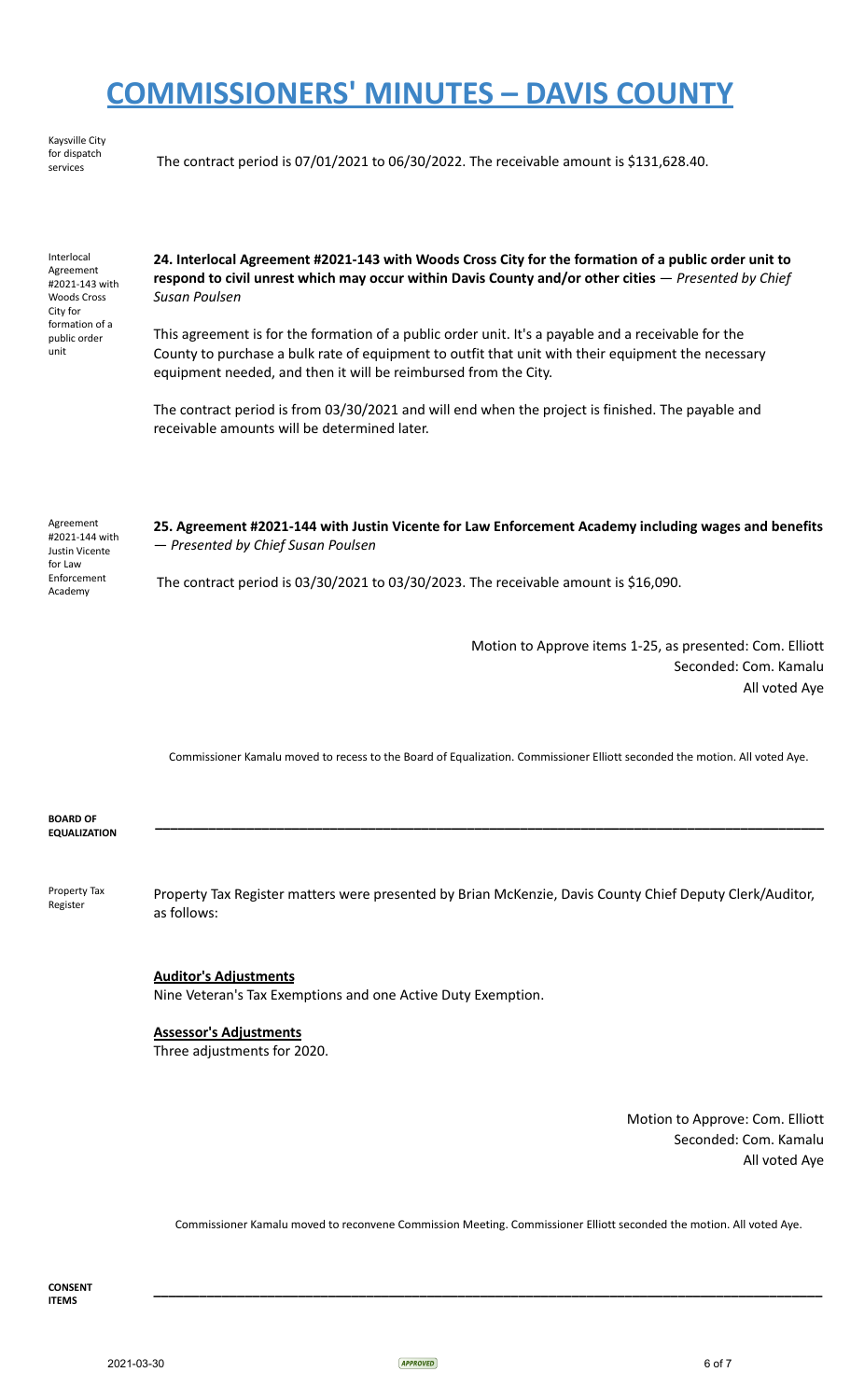Kaysville City for dispatch<br>services

The contract period is 07/01/2021 to 06/30/2022. The receivable amount is \$131,628.40.

Interlocal Agreement #2021-143 with Woods Cross City for formation of a public order unit

**24. Interlocal Agreement #2021-143 with Woods Cross City for the formation of a public order unit to respond to civil unrest which may occur within Davis County and/or other cities** — *Presented by Chief Susan Poulsen*

This agreement is for the formation of a public order unit. It's a payable and a receivable for the County to purchase a bulk rate of equipment to outfit that unit with their equipment the necessary equipment needed, and then it will be reimbursed from the City.

The contract period is from 03/30/2021 and will end when the project is finished. The payable and receivable amounts will be determined later.

Agreement #2021-144 with Justin Vicente for Law Enforcement Academy **25. Agreement #2021-144 with Justin Vicente for Law Enforcement Academy including wages and benefits** — *Presented by Chief Susan Poulsen* The contract period is 03/30/2021 to 03/30/2023. The receivable amount is \$16,090.

> Motion to Approve items 1-25, as presented: Com. Elliott Seconded: Com. Kamalu All voted Aye

Commissioner Kamalu moved to recess to the Board of Equalization. Commissioner Elliott seconded the motion. All voted Aye.

**\_\_\_\_\_\_\_\_\_\_\_\_\_\_\_\_\_\_\_\_\_\_\_\_\_\_\_\_\_\_\_\_\_\_\_\_\_\_\_\_\_\_\_\_\_\_\_\_\_\_\_\_\_\_\_\_\_\_\_\_\_\_\_\_\_\_\_\_\_\_\_\_\_\_\_\_\_\_\_\_\_\_\_\_\_\_\_\_**

**BOARD OF EQUALIZATION**

Property Tax Register Property Tax Register matters were presented by Brian McKenzie, Davis County Chief Deputy Clerk/Auditor, as follows:

**Auditor's Adjustments**

Nine Veteran's Tax Exemptions and one Active Duty Exemption.

### **Assessor's Adjustments**

Three adjustments for 2020.

Motion to Approve: Com. Elliott Seconded: Com. Kamalu All voted Aye

Commissioner Kamalu moved to reconvene Commission Meeting. Commissioner Elliott seconded the motion. All voted Aye.

**\_\_\_\_\_\_\_\_\_\_\_\_\_\_\_\_\_\_\_\_\_\_\_\_\_\_\_\_\_\_\_\_\_\_\_\_\_\_\_\_\_\_\_\_\_\_\_\_\_\_\_\_\_\_\_\_\_\_\_\_\_\_\_\_\_\_\_\_\_\_\_\_\_\_\_\_\_\_\_\_\_\_\_\_\_\_\_\_**

**CONSENT ITEMS**